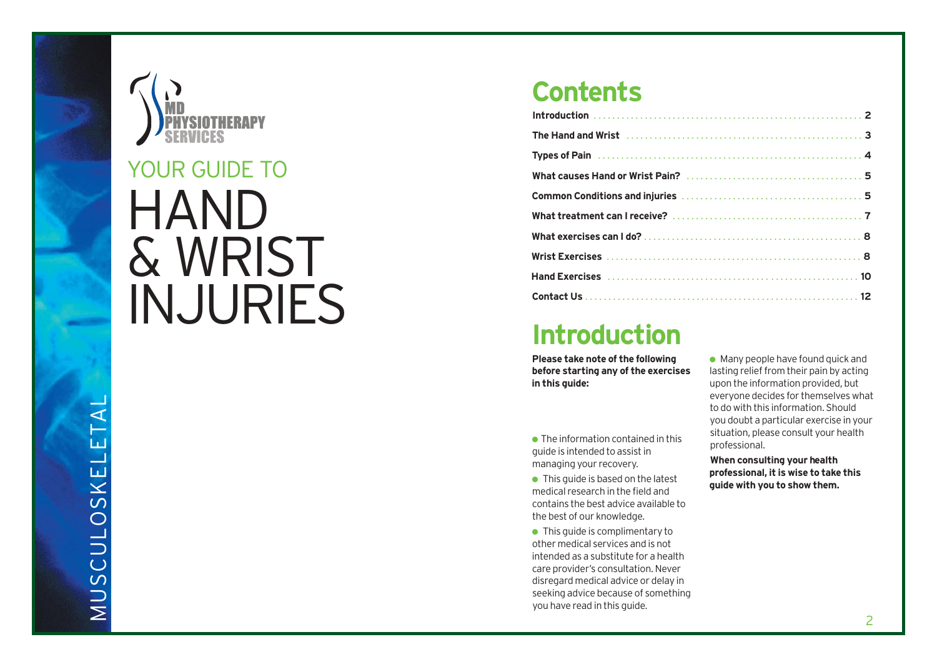

# **HAND** & WRIST **INJURIES** YOUR GUIDE TO

### Introduction

Please take note of the following before starting any of the exercises **i n t h i s g u i d e :**

• The information contained in this guide is intended to assist in managing your recovery.

• This guide is based on the latest medical research in the field and contains the best advice available to the best of our knowledge.

• This guide is complimentary to other medical services and is not intended as a substitute for a health care provider's consultation. Never disregard medical advice or delay in seeking advice because of something you have read in this guide.

• Many people have found quick and lasting relief from their pain by acting upon the information provided, but everyone decides for themselves what to do with this information. Should you doubt a particular exercise in your situation, please consult your health professional.

When consulting your health professional, it is wise to take this guide with you to show them.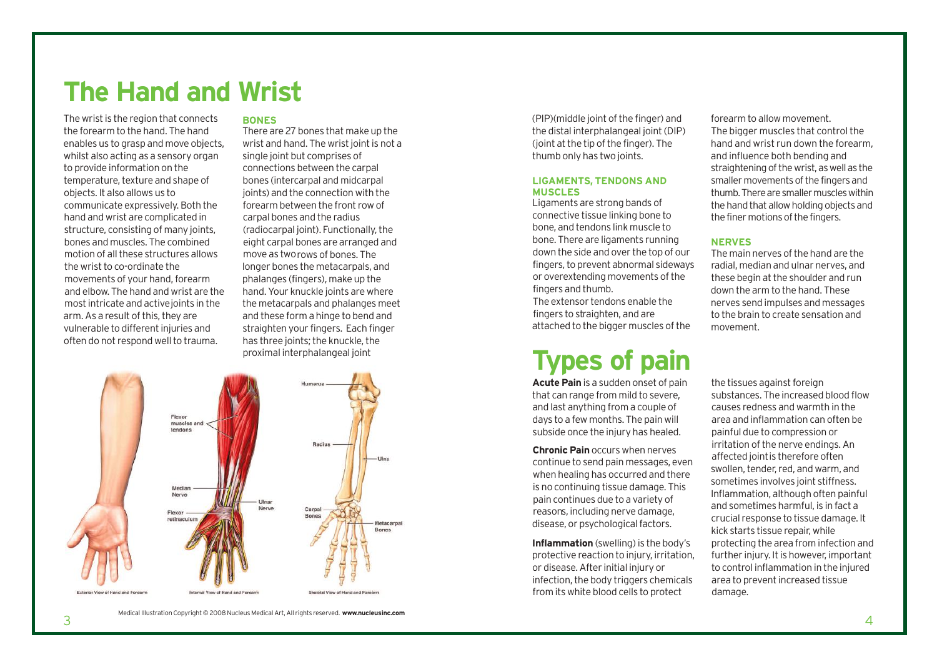### **The Hand and Wrist**

The wrist is the region that connects the forearm to the hand. The hand enables us to grasp and move objects, whilst also acting as a sensory organ to provide information on the temperature, texture and shape of objects. It also allows us to communicate expressively.Both the hand and wrist are complicated in structure, consisting of many joints, bones and muscles. The combined motion of all these structures allows the wrist to co-ordinate the movements of your hand,forearm and elbow. The hand and wrist are the most intricate and active joints in the arm. As a result of this, they are vulnerable to different injuries and often do not respond well to trauma.

3

### **BONES**

There are 27 bones that make up the wrist and hand. The wrist joint is not a single joint but comprises of connections between the carpal bones (intercarpal and midcarpal joints) and the connection with the forearm between the front row of carpal bones and the radius (radiocarpal joint). Functionally,the eight carpal bones are arranged and move as tworows of bones. The longer bones the metacarpals, and phalanges (fingers), make up the hand.Your knuckle joints are where the metacarpals and phalanges meet and these form a hinge to bend and straighten your fingers. Each finger has three joints; the knuckle, the proximal interphalangeal joint



(PIP)(middle joint of the finger) and the distal interphalangeal joint(DIP) (joint at the tip of the finger). The thumb only has two joints.

### **LIGAMENTS, TENDONS AND MUSCLES**

Ligaments are strong bands of connective tissue linking bone to bone, and tendons link muscle to bone. There are ligaments running down the side and over the top of our fingers,to prevent abnormal sideways or overextending movements ofthe fingers and thumb.

The extensor tendons enable the fingers to straighten, and are attached to the bigger muscles of the

## **Types of pain**

**Acute Pain** is a sudden onset of pain that can range from mild to severe, and last anything from a couple of days to a few months. The pain will subside once the injury has healed.

**Chronic Pain** occurs when nerves continue to send pain messages, even when healing has occurred and there is no continuing tissue damage. This pain continues due to a variety of reasons, including nerve damage, disease, or psychological factors.

**Inflammation** (swelling) is the body's protective reaction to injury, irritation, or disease.After initial injury or infection, the body triggers chemicals from its white blood cells to protect

forearm to allow movement. The bigger muscles that control the hand and wrist run down the forearm, and influence both bending and straightening of the wrist, as well as the smaller movements of the fingers and thumb. There are smaller muscles within the hand that allow holding objects and the finer motions of the fingers.

### **NERVES**

The main nerves of the hand are the radial, median and ulnar nerves, and these begin at the shoulder and run down the arm to the hand. These nerves send impulses and messages to the brain to create sensation and movement.

the tissues against foreign substances. The increased blood flow causes redness and warmth in the area and inflammation can often be painful due to compression or irritation of the nerve endings. An affected jointis therefore often swollen, tender, red, and warm, and sometimes involves joint stiffness. Inflammation, although often painful and sometimes harmful, is in fact a crucial response to tissue damage. It kick starts tissue repair, while protecting the area from infection and further injury. It is however, important to control inflammation in the injured area to prevent increased tissue damage.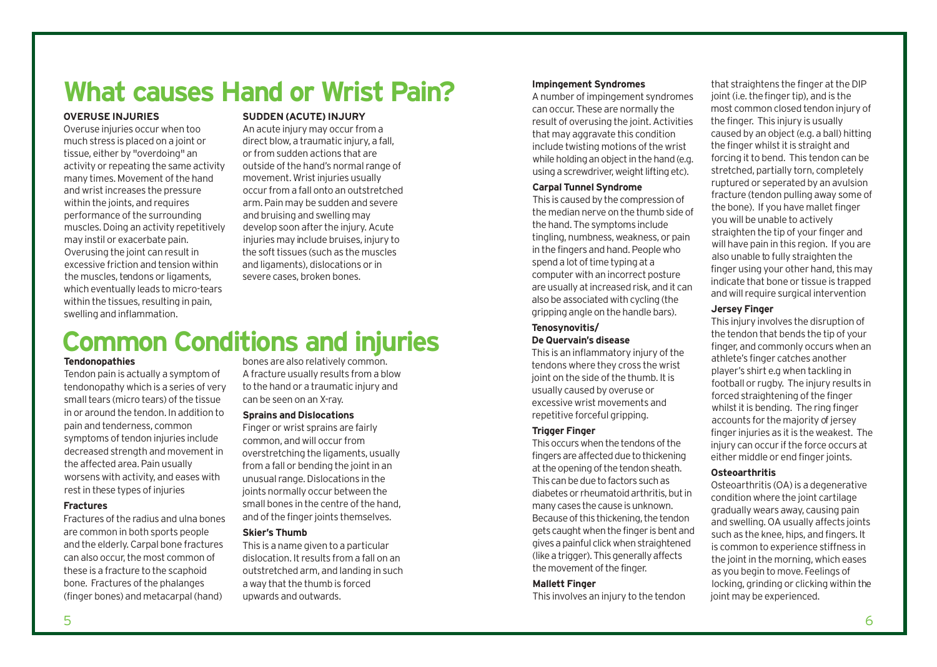## **What causes Hand or Wrist Pain?**

### **OVERUSE INJURIES**

Overuse injuries occur when too much stress is placed on a joint or tissue, either by "overdoing" an activity or repeating the same activity many times. Movement of the hand and wrist increases the pressure within the joints, and requires performance of the surrounding muscles.Doing an activity repetitively may instil or exacerbate pain. Overusing the joint can result in excessive friction and tension within the muscles, tendons or ligaments. which eventually leads to micro-tears within the tissues, resulting in pain, swelling and inflammation.

### **SUDDEN (ACUTE)INJURY**

An acute injury may occur from a direct blow, a traumatic injury, a fall, or from sudden actions that are outside of the hand's normal range of movement. Wrist injuries usually occur from a fall onto an outstretched arm. Pain may be sudden and severe and bruising and swelling may develop soon after the injury. Acute injuries may include bruises, injury to the soft tissues (such as the muscles and ligaments), dislocations or in severe cases, broken bones.

## **Common Conditions and injuries**

### **Tendonopathies**

Tendon pain is actually a symptom of tendonopathy which is a series of very small tears (micro tears) of the tissue in or around the tendon. In addition to pain and tenderness, common symptoms of tendon injuries include decreased strength and movement in the affected area. Pain usually worsens with activity, and eases with rest in these types of injuries

### **Fractures**

Fractures of the radius and ulna bones are common in both sports people and the elderly.Carpal bone fractures can also occur, the most common of these is a fracture to the scaphoid bone. Fractures of the phalanges (finger bones) and metacarpal(hand)

bones are also relatively common. Afracture usually results from a blow to the hand or a traumatic injury and can be seen on an X-ray.

### **Sprains and Dislocations**

Finger or wrist sprains are fairly common, and will occur from overstretching the ligaments, usually from a fall or bending the joint in an unusual range.Dislocations in the joints normally occur between the small bones in the centre of the hand. and of the finger joints themselves.

### **Skier's Thumb**

This is a name given to a particular dislocation. It results from a fall on an outstretched arm, and landing in such a way that the thumb is forced upwards and outwards.

### **Impingement Syndromes**

A number of impingement syndromes can occur. These are normally the result of overusing the joint.Activities that may aggravate this condition include twisting motions of the wrist while holding an object in the hand (e.g. using a screwdriver, weight lifting etc).

### **Carpal Tunnel Syndrome**

This is caused by the compression of the median nerve on the thumb side of the hand.The symptoms include tingling, numbness,weakness, or pain in the fingers and hand. People who spend a lot of time typing at a computer with an incorrect posture are usually atincreased risk, and it can also be associated with cycling (the gripping angle on the handle bars).

### **Tenosynovitis/**

### **De Quervain's disease**

This is an inflammatory injury of the tendons where they cross the wrist joint on the side of the thumb. It is usually caused by overuse or excessive wrist movements and repetitive forceful gripping.

### **Trigger Finger**

This occurs when the tendons of the fingers are affected due to thickening at the opening of the tendon sheath. This canbeduetofactors suchas diabetes or rheumatoid arthritis, but in many cases the cause is unknown. Because of this thickening, the tendon gets caught when the finger is bent and gives a painful click when straightened (like a trigger). This generally affects the movement of the finger.

### **Mallett Finger**

This involves an injury to the tendon

that straightens the finger at the DIP joint (i.e. the finger tip), and is the most common closed tendon injury of the finger. This injury is usually caused by an object(e.g. a ball) hitting the finger whilst it is straight and forcing it to bend. This tendon can be stretched, partially torn, completely ruptured or seperated by an avulsion fracture (tendon pulling away some of the bone). If you have mallet finger you will be unable to actively straighten the tip of your finger and will have pain in this region. If you are also unable to fully straighten the finger using your other hand, this may indicate that bone or tissue is trapped and will require surgical intervention

### **Jersey Finger**

This injury involves the disruption of the tendon that bends the tip of your finger, and commonly occurs when an athlete's finger catches another player's shirt e.g when tackling in football or rugby. The injury results in forced straightening of the finger whilst it is bending. The ring finger accounts for the majority of jersey finger injuries as it is the weakest. The injury can occur if the force occurs at either middle or end finger joints.

### **Osteoarthritis**

Osteoarthritis (OA) is a degenerative condition where the joint cartilage gradually wears away, causing pain and swelling. OA usually affects joints such as the knee, hips, and fingers. It is common to experience stiffness in the joint in the morning, which eases as you begin to move. Feelings of locking, grinding or clicking within the joint may be experienced.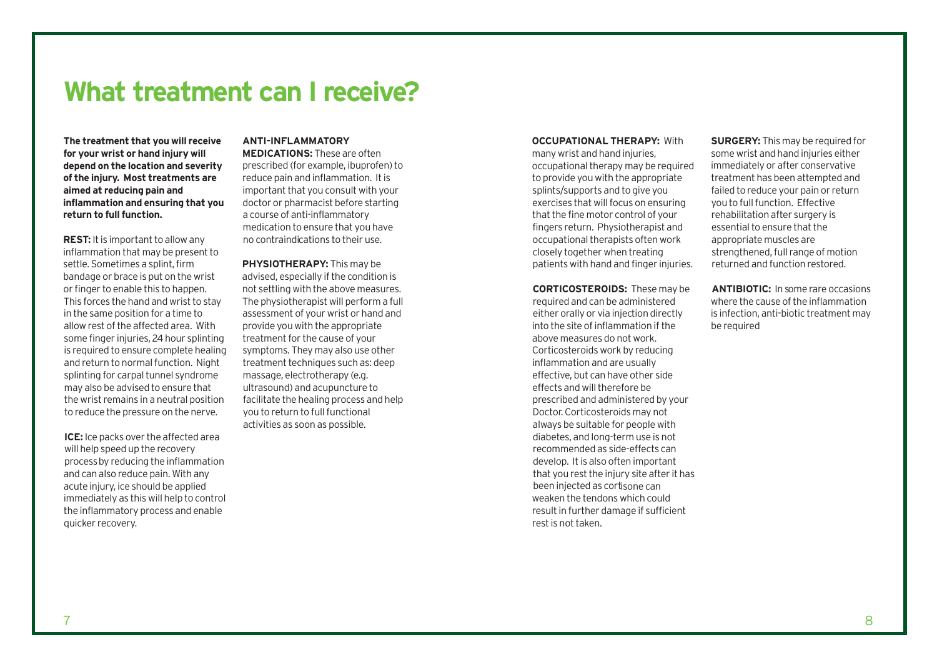### **What treatment can I receive?**

**The treatment that you will receive for your wrist or hand injury will depend on the location and severity of the injury. Most treatments are aimed at reducing pain and inflammation and ensuring that you return** to full function.

**REST:** It is important to allow any inflammation that may be present to settle. Sometimes a splint, firm bandage or brace is put on the wrist or finger to enable this to happen. This forces the hand and wrist to stay in the same position for a time to allow rest of the affected area. With some finger injuries, 24hour splinting is required to ensure complete healing and return to normal function. Night splinting for carpal tunnel syndrome may also be advised to ensure that the wrist remains in a neutral position to reduce the pressure on the nerve.

**ICE:** Ice packs over the affected area will help speed up the recovery processby reducing the inflammation and can also reduce pain. With any acute injury, ice should be applied immediately as this will help to control the inflammatory process and enable quicker recovery.

### **ANTI-INFLAMMATORY**

**MEDICATIONS:** These are often prescribed (for example, ibuprofen) to reduce pain and inflammation. It is important that you consult with your doctor or pharmacist before starting a course of anti-inflammatory medication to ensure that you have no contraindications to their use.

**PHYSIOTHERAPY:** This may be advised, especially if the condition is not settling with the above measures. The physiotherapist will perform a full assessment of your wrist or hand and provide you with the appropriate treatment for the cause of your symptoms. They may also use other treatment techniques such as: deep massage, electrotherapy (e.g. ultrasound) and acupuncture to facilitate the healing process and help you to return to full functional activities as soon as possible.

### **OCCUPATIONAL THERAPY:** With

many wrist and hand injuries, occupational therapy may be required to provide you with the appropriate splints/supports and to give you exercises that will focus on ensuring that the fine motor control of your fingers return. Physiotherapist and occupational therapists often work closely together when treating patients with hand and finger injuries.

**CORTICOSTEROIDS:** These may be required and can be administered either orally or via injection directly into the site of inflammation if the above measures do not work. Corticosteroids work by reducing inflammation and are usually effective, but can have other side effects and will therefore be prescribed and administered by your Doctor.Corticosteroids may not always be suitable for people with diabetes, and long-term use is not recommended as side-effects can develop. It is also often important that you rest the injury site after it has been injected as cortisone can weaken the tendons which could result in further damage if sufficient rest is not taken.

**SURGERY:** This may be required for some wrist and hand injuries either immediately or after conservative treatment has been attempted and failed to reduce your pain or return you to full function. Effective rehabilitation after surgery is essential to ensure that the appropriate muscles are strengthened, full range of motion returned and function restored.

**ANTIBIOTIC:** In some rare occasions where the cause of the inflammation is infection, anti-biotic treatment may be required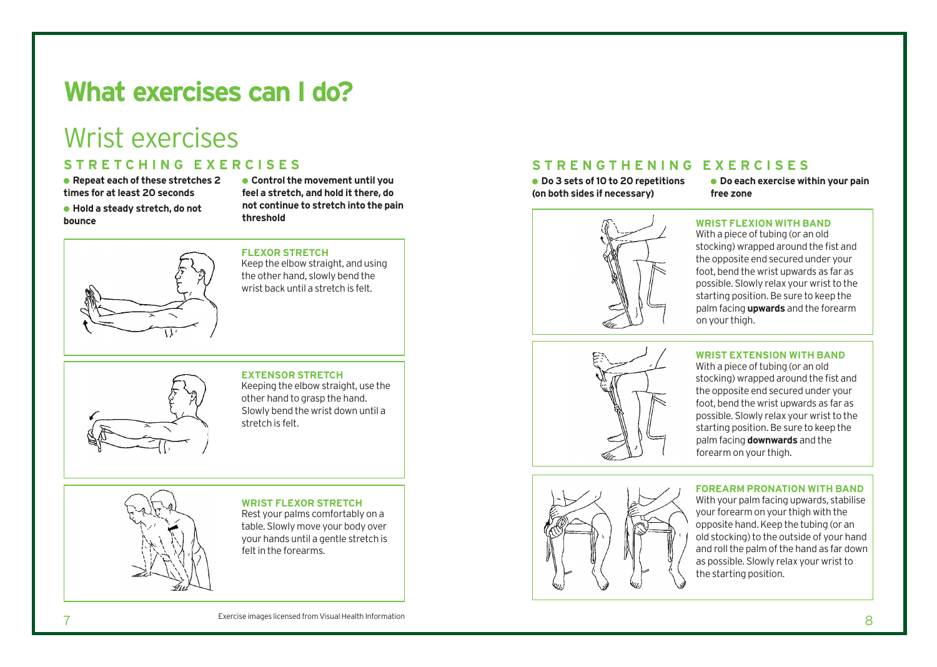### **What exercises can I do?**

## Wrist exercises

### **S T R E T C H I N G E X E R C I S E S**

● **Repeat each of these stretches 2 times for at least 20 seconds**

● **Hold a steady stretch, do not bounce**

● **Control the movement until you feel a stretch, and hold it there, do not continue to stretch into the pain threshold**

### **FLEXOR STRETCH**

Keep the elbow straight, and using the other hand, slowly bend the wrist back until a stretch is felt.

### **EXTENSOR STRETCH** Keeping the elbow straight, use the other hand to grasp the hand. Slowly bend the wrist down until a stretch is felt.

**WRIST FLEXOR STRETCH** Rest your palms comfortably on a

table. Slowly move your body over your hands until a gentle stretch is feltin the forearms.

### **S T R E N G T H E N I N G E X E R C I S E S**

● **Do 3 sets of10 to 20 repetitions (on both sides if necessary)**

● **Do each exercise within your pain free zone**



#### **WRIST FLEXION WITH BAND** With a piece of tubing (or an old

stocking) wrapped around the fist and the opposite end secured under your foot, bend the wrist upwards as far as possible. Slowly relax your wrist to the starting position. Be sure to keep the palm facing **upwards** and the forearm on your thigh.



### **WRIST EXTENSION WITH BAND**

With a piece of tubing (or an old stocking) wrapped around the fist and the opposite end secured under your foot, bend the wrist upwards as far as possible. Slowly relax your wrist to the starting position. Be sure to keep the palm facing **downwards** and the forearm on your thigh.



### **FOREARM PRONATION WITH BAND**

With your palm facing upwards, stabilise your forearm on your thigh with the opposite hand.Keep the tubing (or an old stocking) to the outside of your hand and roll the palm of the hand as far down as possible. Slowly relax your wrist to the starting position.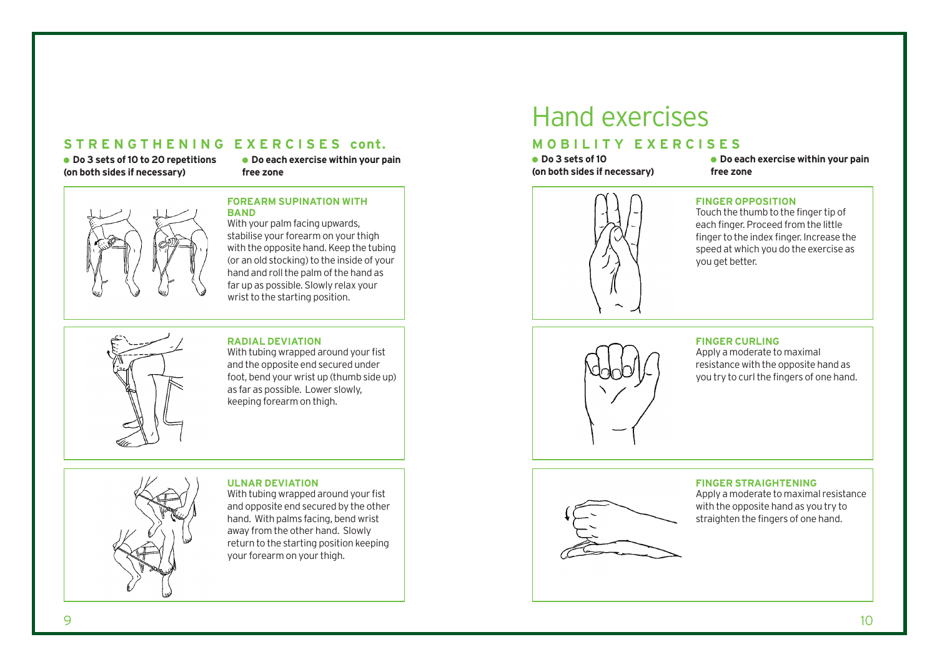### **S T R E N G T H E N I N G E X E R C I S E S cont.**

● **Do 3 sets of10 to 20 repetitions (on both sides if necessary)**

● **Do each exercise within your pain free zone**



#### **FOREARM SUPINATION WITH BAND**

With your palm facing upwards. stabilise your forearm on your thigh with the opposite hand. Keep the tubing (or an old stocking) to the inside of your hand and roll the palm of the hand as far up as possible. Slowly relax your wrist to the starting position.



#### **RADIAL DEVIATION**

With tubing wrapped around your fist and the opposite end secured under foot, bend your wrist up (thumb side up) as far as possible. Lower slowly, keeping forearm on thigh.

### **ULNAR DEVIATION**



With tubing wrapped around your fist and opposite end secured by the other hand. With palms facing, bend wrist away from the other hand. Slowly return to the starting position keeping your forearm on your thigh.

## Hand exercises

### **M O B I L I T Y E X E R C I S E S**

● **Do 3 sets of10 (on both sides if necessary)** ● **Do each exercise within your pain free zone**



### **FINGER OPPOSITION**

Touch the thumb to the finger tip of each finger. Proceed from the little finger to the index finger. Increase the speed at which you do the exercise as you get better.



#### **FINGER CURLING**

Apply a moderate to maximal resistance with the opposite hand as you try to curl the fingers of one hand.

### **FINGER STRAIGHTENING**



Apply a moderate to maximal resistance with the opposite hand as you try to straighten the fingers of one hand.